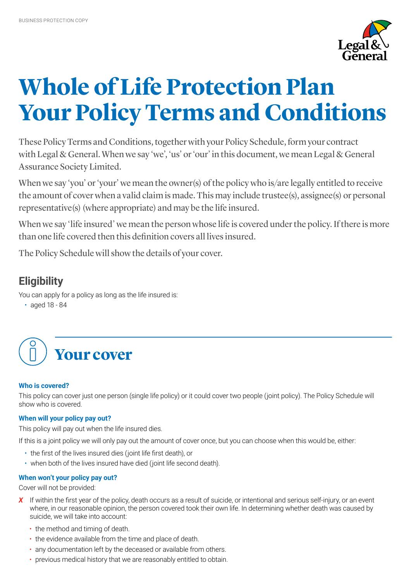

# **Whole of Life Protection Plan Your Policy Terms and Conditions**

These Policy Terms and Conditions, together with your Policy Schedule, form your contract with Legal & General. When we say 'we', 'us' or 'our' in this document, we mean Legal & General Assurance Society Limited.

When we say 'you' or 'your' we mean the owner(s) of the policy who is/are legally entitled to receive the amount of cover when a valid claim is made. This may include trustee(s), assignee(s) or personal representative(s) (where appropriate) and may be the life insured.

When we say 'life insured' we mean the person whose life is covered under the policy. If there is more than one life covered then this definition covers all lives insured.

The Policy Schedule will show the details of your cover.

## **Eligibility**

You can apply for a policy as long as the life insured is:

• aged 18 - 84



## **Who is covered?**

This policy can cover just one person (single life policy) or it could cover two people (joint policy). The Policy Schedule will show who is covered.

## **When will your policy pay out?**

This policy will pay out when the life insured dies.

If this is a joint policy we will only pay out the amount of cover once, but you can choose when this would be, either:

- the first of the lives insured dies (joint life first death), or
- when both of the lives insured have died (joint life second death).

## **When won't your policy pay out?**

Cover will not be provided:

- **X** If within the first year of the policy, death occurs as a result of suicide, or intentional and serious self-injury, or an event where, in our reasonable opinion, the person covered took their own life. In determining whether death was caused by suicide, we will take into account:
	- the method and timing of death.
	- the evidence available from the time and place of death.
	- any documentation left by the deceased or available from others.
	- previous medical history that we are reasonably entitled to obtain.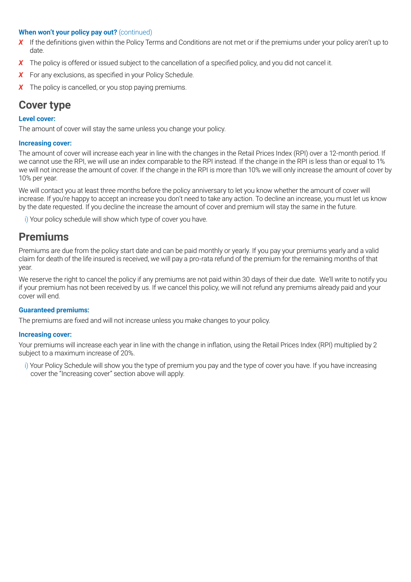## **When won't your policy pay out?** (continued)

- X If the definitions given within the Policy Terms and Conditions are not met or if the premiums under your policy aren't up to date.
- **X** The policy is offered or issued subject to the cancellation of a specified policy, and you did not cancel it.
- **X** For any exclusions, as specified in your Policy Schedule.
- *X* The policy is cancelled, or you stop paying premiums.

## **Cover type**

## **Level cover:**

The amount of cover will stay the same unless you change your policy.

## **Increasing cover:**

The amount of cover will increase each year in line with the changes in the Retail Prices Index (RPI) over a 12-month period. If we cannot use the RPI, we will use an index comparable to the RPI instead. If the change in the RPI is less than or equal to 1% we will not increase the amount of cover. If the change in the RPI is more than 10% we will only increase the amount of cover by 10% per year.

We will contact you at least three months before the policy anniversary to let you know whether the amount of cover will increase. If you're happy to accept an increase you don't need to take any action. To decline an increase, you must let us know by the date requested. If you decline the increase the amount of cover and premium will stay the same in the future.

i) Your policy schedule will show which type of cover you have.

## **Premiums**

Premiums are due from the policy start date and can be paid monthly or yearly. If you pay your premiums yearly and a valid claim for death of the life insured is received, we will pay a pro-rata refund of the premium for the remaining months of that year.

We reserve the right to cancel the policy if any premiums are not paid within 30 days of their due date. We'll write to notify you if your premium has not been received by us. If we cancel this policy, we will not refund any premiums already paid and your cover will end.

### **Guaranteed premiums:**

The premiums are fixed and will not increase unless you make changes to your policy.

### **Increasing cover:**

Your premiums will increase each year in line with the change in inflation, using the Retail Prices Index (RPI) multiplied by 2 subject to a maximum increase of 20%.

i) Your Policy Schedule will show you the type of premium you pay and the type of cover you have. If you have increasing cover the "Increasing cover" section above will apply.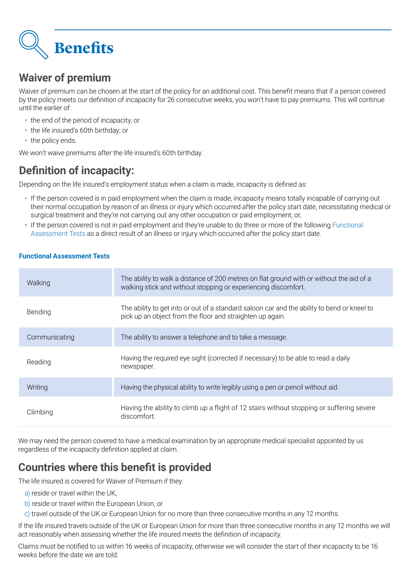

## **Waiver of premium**

Waiver of premium can be chosen at the start of the policy for an additional cost. This benefit means that if a person covered by the policy meets our definition of incapacity for 26 consecutive weeks, you won't have to pay premiums. This will continue until the earlier of:

- the end of the period of incapacity, or
- the life insured's 60th birthday; or
- the policy ends.

We won't waive premiums after the life insured's 60th birthday.

## **Definition of incapacity:**

Depending on the life insured's employment status when a claim is made, incapacity is defined as:

- If the person covered is in paid employment when the claim is made, incapacity means totally incapable of carrying out their normal occupation by reason of an illness or injury which occurred after the policy start date, necessitating medical or surgical treatment and they're not carrying out any other occupation or paid employment; or,
- If the person covered is not in paid employment and they're unable to do three or more of the following Functional Assessment Tests as a direct result of an illness or injury which occurred after the policy start date.

## **Functional Assessment Tests**

| Walking       | The ability to walk a distance of 200 metres on flat ground with or without the aid of a<br>walking stick and without stopping or experiencing discomfort. |  |
|---------------|------------------------------------------------------------------------------------------------------------------------------------------------------------|--|
| Bending       | The ability to get into or out of a standard saloon car and the ability to bend or kneel to<br>pick up an object from the floor and straighten up again.   |  |
| Communicating | The ability to answer a telephone and to take a message.                                                                                                   |  |
| Reading       | Having the required eye sight (corrected if necessary) to be able to read a daily<br>newspaper.                                                            |  |
| Writing       | Having the physical ability to write legibly using a pen or pencil without aid.                                                                            |  |
| Climbing      | Having the ability to climb up a flight of 12 stairs without stopping or suffering severe<br>discomfort.                                                   |  |

We may need the person covered to have a medical examination by an appropriate medical specialist appointed by us regardless of the incapacity definition applied at claim.

## **Countries where this benefit is provided**

The life insured is covered for Waiver of Premium if they:

- a) reside or travel within the UK,
- b) reside or travel within the European Union, or
- c) travel outside of the UK or European Union for no more than three consecutive months in any 12 months.

If the life insured travels outside of the UK or European Union for more than three consecutive months in any 12 months we will act reasonably when assessing whether the life insured meets the definition of incapacity.

Claims must be notified to us within 16 weeks of incapacity, otherwise we will consider the start of their incapacity to be 16 weeks before the date we are told.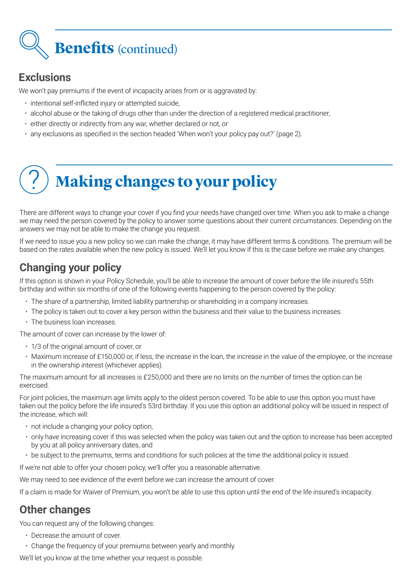# **Benefits** (continued)

## **Exclusions**

We won't pay premiums if the event of incapacity arises from or is aggravated by:

- intentional self-inflicted injury or attempted suicide,
- alcohol abuse or the taking of drugs other than under the direction of a registered medical practitioner,
- either directly or indirectly from any war, whether declared or not, or
- any exclusions as specified in the section headed 'When won't your policy pay out?' (page 2).

# ? **Making changes to your policy**

There are different ways to change your cover if you find your needs have changed over time. When you ask to make a change we may need the person covered by the policy to answer some questions about their current circumstances. Depending on the answers we may not be able to make the change you request.

If we need to issue you a new policy so we can make the change, it may have different terms & conditions. The premium will be based on the rates available when the new policy is issued. We'll let you know if this is the case before we make any changes.

## **Changing your policy**

If this option is shown in your Policy Schedule, you'll be able to increase the amount of cover before the life insured's 55th birthday and within six months of one of the following events happening to the person covered by the policy:

- The share of a partnership, limited liability partnership or shareholding in a company increases.
- The policy is taken out to cover a key person within the business and their value to the business increases.
- The business loan increases.

The amount of cover can increase by the lower of:

- 1/3 of the original amount of cover, or
- Maximum increase of £150,000 or, if less, the increase in the loan, the increase in the value of the employee, or the increase in the ownership interest (whichever applies).

The maximum amount for all increases is £250,000 and there are no limits on the number of times the option can be exercised.

For joint policies, the maximum age limits apply to the oldest person covered. To be able to use this option you must have taken out the policy before the life insured's 53rd birthday. If you use this option an additional policy will be issued in respect of the increase, which will:

- not include a changing your policy option,
- only have increasing cover if this was selected when the policy was taken out and the option to increase has been accepted by you at all policy anniversary dates, and
- be subject to the premiums, terms and conditions for such policies at the time the additional policy is issued.

If we're not able to offer your chosen policy, we'll offer you a reasonable alternative.

We may need to see evidence of the event before we can increase the amount of cover.

If a claim is made for Waiver of Premium, you won't be able to use this option until the end of the life insured's incapacity.

## **Other changes**

You can request any of the following changes:

- Decrease the amount of cover.
- Change the frequency of your premiums between yearly and monthly.

We'll let you know at the time whether your request is possible.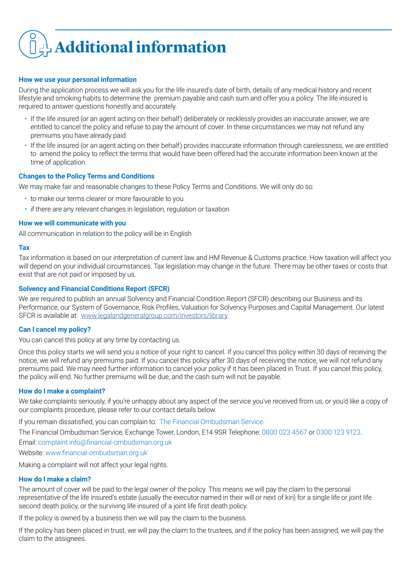# **+ Additional information**

### **How we use your personal information**

During the application process we will ask you for the life insured's date of birth, details of any medical history and recent lifestyle and smoking habits to determine the premium payable and cash sum and offer you a policy. The life insured is required to answer questions honestly and accurately.

- If the life insured (or an agent acting on their behalf) deliberately or recklessly provides an inaccurate answer, we are entitled to cancel the policy and refuse to pay the amount of cover. In these circumstances we may not refund any premiums you have already paid.
- If the life insured (or an agent acting on their behalf) provides inaccurate information through carelessness, we are entitled to amend the policy to reflect the terms that would have been offered had the accurate information been known at the time of application.

## **Changes to the Policy Terms and Conditions**

We may make fair and reasonable changes to these Policy Terms and Conditions. We will only do so:

- to make our terms clearer or more favourable to you
- if there are any relevant changes in legislation, regulation or taxation

### **How we will communicate with you**

All communication in relation to the policy will be in English

#### **Tax**

Tax information is based on our interpretation of current law and HM Revenue & Customs practice. How taxation will affect you will depend on your individual circumstances. Tax legislation may change in the future. There may be other taxes or costs that exist that are not paid or imposed by us.

#### **Solvency and Financial Conditions Report (SFCR)**

We are required to publish an annual Solvency and Financial Condition Report (SFCR) describing our Business and its Performance, our System of Governance, Risk Profiles, Valuation for Solvency Purposes and Capital Management. Our latest SFCR is available at: [www.legalandgeneralgroup.com/investors/library.](http://www.legalandgeneralgroup.com/investors/library)

### **Can I cancel my policy?**

You can cancel this policy at any time by contacting us.

Once this policy starts we will send you a notice of your right to cancel. If you cancel this policy within 30 days of receiving the notice, we will refund any premiums paid. If you cancel this policy after 30 days of receiving the notice, we will not refund any premiums paid. We may need further information to cancel your policy if it has been placed in Trust. If you cancel this policy, the policy will end. No further premiums will be due, and the cash sum will not be payable.

### **How do I make a complaint?**

We take complaints seriously, if you're unhappy about any aspect of the service you've received from us, or you'd like a copy of our complaints procedure, please refer to our contact details below.

If you remain dissatisfied, you can complain to: The Financial Ombudsman Service.

The Financial Ombudsman Service, Exchange Tower, London, E14 9SR Telephone: 0800 023 4567 or 0300 123 9123.

Email: complaint.info@financial-ombudsman.org.uk

Website: www.financial-ombudsman.org.uk

Making a complaint will not affect your legal rights.

### **How do I make a claim?**

The amount of cover will be paid to the legal owner of the policy. This means we will pay the claim to the personal representative of the life insured's estate (usually the executor named in their will or next of kin) for a single life or joint life second death policy, or the surviving life insured of a joint life first death policy.

If the policy is owned by a business then we will pay the claim to the business.

If the policy has been placed in trust, we will pay the claim to the trustees, and if the policy has been assigned, we will pay the claim to the assignees.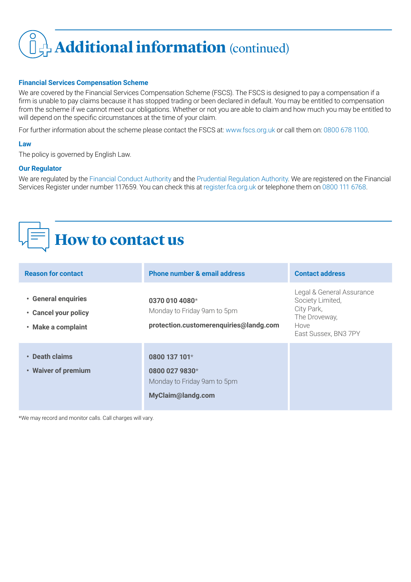# **Additional information** (continued)

## **Financial Services Compensation Scheme**

We are covered by the Financial Services Compensation Scheme (FSCS). The FSCS is designed to pay a compensation if a firm is unable to pay claims because it has stopped trading or been declared in default. You may be entitled to compensation from the scheme if we cannot meet our obligations. Whether or not you are able to claim and how much you may be entitled to will depend on the specific circumstances at the time of your claim.

For further information about the scheme please contact the FSCS at: www.fscs.org.uk or call them on: 0800 678 1100.

## **Law**

The policy is governed by English Law.

## **Our Regulator**

We are regulated by the Financial Conduct Authority and the Prudential Regulation Authority. We are registered on the Financial Services Register under number 117659. You can check this at register.fca.org.uk or telephone them on 0800 111 6768.

## **How to contact us**

| <b>Reason for contact</b>                                         | <b>Phone number &amp; email address</b>                                                 | <b>Contact address</b>                                                                                       |
|-------------------------------------------------------------------|-----------------------------------------------------------------------------------------|--------------------------------------------------------------------------------------------------------------|
| • General enquiries<br>• Cancel your policy<br>• Make a complaint | 0370 010 4080*<br>Monday to Friday 9am to 5pm<br>protection.customerenquiries@landg.com | Legal & General Assurance<br>Society Limited,<br>City Park,<br>The Droveway,<br>Hove<br>East Sussex, BN3 7PY |
| • Death claims<br>• Waiver of premium                             | 0800 137 101 $*$<br>0800 027 9830*<br>Monday to Friday 9am to 5pm<br>MyClaim@landg.com  |                                                                                                              |

\*We may record and monitor calls. Call charges will vary.